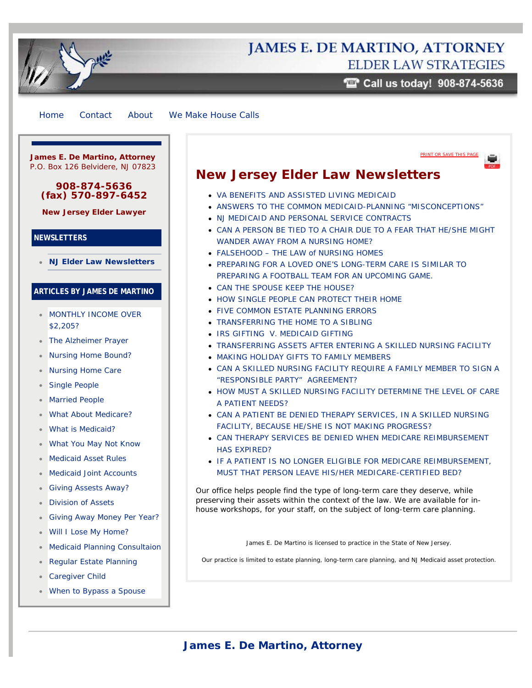# **JAMES E. DE MARTINO, ATTORNEY ELDER LAW STRATEGIES**

 $\blacksquare$  Call us today! 908-874-5636

[PRINT OR SAVE THIS PAGE](http://www.njelderlawfirm.com/pdf/Newsletters_01_NJElderLawFirm_NJ-ElderLawNewsletters.pdf)

<span id="page-0-0"></span>[Home](http://www.njelderlawfirm.com/) [Contact](http://www.njelderlawfirm.com/contact-us/) [About](http://www.njelderlawfirm.com/about/) [We Make House Calls](http://www.njelderlawfirm.com/housecalls/)

**James E. De Martino, Attorney** P.O. Box 126 Belvidere, NJ 07823

### **908-874-5636 (fax) 570-897-6452**

**[New Jersey Elder Lawyer](http://www.njelderlawfirm.com/)**

## **NEWSLETTERS**

**[NJ Elder Law Newsletters](#page-0-0)**

## **ARTICLES BY JAMES DE MARTINO**

- **[MONTHLY INCOME OVER](http://www.njelderlawfirm.com/monthly-income-over-2199/)** [\\$2,205?](http://www.njelderlawfirm.com/monthly-income-over-2199/)
- [The Alzheimer Prayer](http://www.njelderlawfirm.com/alzheimer_prayer/)
- [Nursing Home Bound?](http://www.njelderlawfirm.com/nursing_home_bound/)
- [Nursing Home Care](http://www.njelderlawfirm.com/nursing-home-care/)  $\bullet$
- [Single People](http://www.njelderlawfirm.com/single-people/)
- [Married People](http://www.njelderlawfirm.com/married-people/)
- [What About Medicare?](http://www.njelderlawfirm.com/what-about-medicare/)
- [What is Medicaid?](http://www.njelderlawfirm.com/what-is-medicaid/)
- [What You May Not Know](http://www.njelderlawfirm.com/why-seek-advice/)
- [Medicaid Asset Rules](http://www.njelderlawfirm.com/medicaid-asset-rules/)
- [Medicaid Joint Accounts](http://www.njelderlawfirm.com/medicaid-joint-accounts/)
- [Giving Assests Away?](http://www.njelderlawfirm.com/giving-assests-away/)
- [Division of Assets](http://www.njelderlawfirm.com/division-of-assets/)
- [Giving Away Money Per Year?](http://www.njelderlawfirm.com/giving-away-money-per-year/)
- [Will I Lose My Home?](http://www.njelderlawfirm.com/will-i-lose-my-home/)  $\bullet$
- [Medicaid Planning Consultaion](http://www.njelderlawfirm.com/medicaid-planning-consultaion/)  $\bullet$
- [Regular Estate Planning](http://www.njelderlawfirm.com/estate-planning/)
- [Caregiver Child](http://www.njelderlawfirm.com/the-caregivers-child/)
- [When to Bypass a Spouse](http://www.njelderlawfirm.com/bypassing-spouse/)

# **New Jersey Elder Law Newsletters**

- [VA BENEFITS AND ASSISTED LIVING MEDICAID](http://www.njelderlawfirm.com/newsletters/va-benefits-and-assisted-living-medicaid/)
- [ANSWERS TO THE COMMON MEDICAID-PLANNING "MISCONCEPTIONS"](http://www.njelderlawfirm.com/newsletters/medicaid-planning-misconceptions/)
- . [NJ MEDICAID AND PERSONAL SERVICE CONTRACTS](http://www.njelderlawfirm.com/newsletters/medicaid/)
- [CAN A PERSON BE TIED TO A CHAIR DUE TO A FEAR THAT HE/SHE MIGHT](http://www.njelderlawfirm.com/newsletters/nj-long-term-care-planning/) [WANDER AWAY FROM A NURSING HOME?](http://www.njelderlawfirm.com/newsletters/nj-long-term-care-planning/)
- [FALSEHOOD THE LAW of NURSING HOMES](http://www.njelderlawfirm.com/newsletters/falsehood-the-law-of-nursing-homes/)
- **[PREPARING FOR A LOVED ONE'S LONG-TERM CARE IS SIMILAR TO](http://www.njelderlawfirm.com/newsletters/preparing-for-a-loved-ones-long-term-care-is-similar-to-preparing-a-football-team-for-an-upcoming-game/)** [PREPARING A FOOTBALL TEAM FOR AN UPCOMING GAME.](http://www.njelderlawfirm.com/newsletters/preparing-for-a-loved-ones-long-term-care-is-similar-to-preparing-a-football-team-for-an-upcoming-game/)
- [CAN THE SPOUSE KEEP THE HOUSE?](http://www.njelderlawfirm.com/newsletters/can-the-spouse-keep-the-house/)
- **[HOW SINGLE PEOPLE CAN PROTECT THEIR HOME](http://www.njelderlawfirm.com/newsletters/how-single-people-can-protect-their-home/)**
- **[FIVE COMMON ESTATE PLANNING ERRORS](http://www.njelderlawfirm.com/newsletters/five-common-estate-planning-errors/)**
- [TRANSFERRING THE HOME TO A SIBLING](http://www.njelderlawfirm.com/newsletters/transferring-the-home-to-a-sibling/)
- [IRS GIFTING V. MEDICAID GIFTING](http://www.njelderlawfirm.com/newsletters/irs-gifting-v-medicaid-gifting/)
- [TRANSFERRING ASSETS AFTER ENTERING A SKILLED NURSING FACILITY](http://www.njelderlawfirm.com/newsletters/transferring-assets-after-entering-a-skilled-nursing-facility/)
- **[MAKING HOLIDAY GIFTS TO FAMILY MEMBERS](http://www.njelderlawfirm.com/newsletters/making-holiday-gifts-to-family-members/)**
- [CAN A SKILLED NURSING FACILITY REQUIRE A FAMILY MEMBER TO SIGN A](http://www.njelderlawfirm.com/newsletters/can-a-skilled-nursing-facility-require-a-family-member-to-sign-a-responsible-party-agreement/) ["RESPONSIBLE PARTY" AGREEMENT?](http://www.njelderlawfirm.com/newsletters/can-a-skilled-nursing-facility-require-a-family-member-to-sign-a-responsible-party-agreement/)
- **[HOW MUST A SKILLED NURSING FACILITY DETERMINE THE LEVEL OF CARE](http://www.njelderlawfirm.com/newsletters/how-must-a-skilled-nursing-facility-determine-the-level-of-care-a-patient-needs/)** [A PATIENT NEEDS?](http://www.njelderlawfirm.com/newsletters/how-must-a-skilled-nursing-facility-determine-the-level-of-care-a-patient-needs/)
- [CAN A PATIENT BE DENIED THERAPY SERVICES, IN A SKILLED NURSING](http://www.njelderlawfirm.com/newsletters/can-a-patient-be-denied-therapy-services-in-a-skilled-nursing-facility-because-heshe-is-not-making-progress/) [FACILITY, BECAUSE HE/SHE IS NOT MAKING PROGRESS?](http://www.njelderlawfirm.com/newsletters/can-a-patient-be-denied-therapy-services-in-a-skilled-nursing-facility-because-heshe-is-not-making-progress/)
- [CAN THERAPY SERVICES BE DENIED WHEN MEDICARE REIMBURSEMENT](http://www.njelderlawfirm.com/newsletters/can-therapy-services-be-denied-when-medicare-reimbursement-has-expired/) [HAS EXPIRED?](http://www.njelderlawfirm.com/newsletters/can-therapy-services-be-denied-when-medicare-reimbursement-has-expired/)
- **IF A PATIENT IS NO LONGER ELIGIBLE FOR MEDICARE REIMBURSEMENT.** [MUST THAT PERSON LEAVE HIS/HER MEDICARE-CERTIFIED BED?](http://www.njelderlawfirm.com/newsletters/if-a-patient-is-no-longer-eligible-for-medicare-reimbursement-must-that-person-leave-hisher-medicare-certified-bed/)

Our office helps people find the type of long-term care they deserve, while preserving their assets within the context of the law. We are available for inhouse workshops, for your staff, on the subject of long-term care planning.

James E. De Martino is licensed to practice in the State of New Jersey.

Our practice is limited to estate planning, long-term care planning, and NJ Medicaid asset protection.